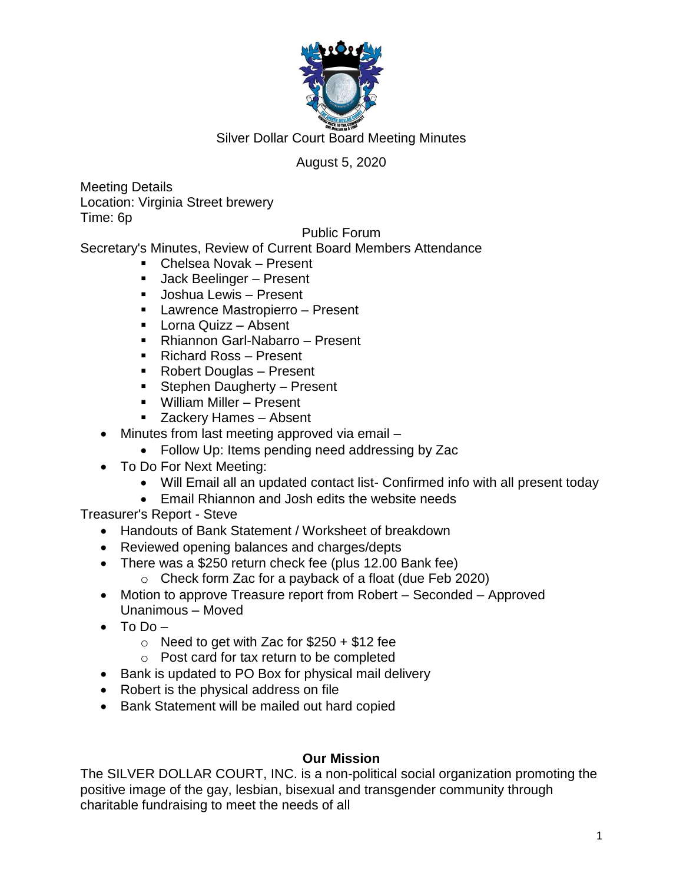

## August 5, 2020

Meeting Details Location: Virginia Street brewery Time: 6p

### Public Forum

Secretary's Minutes, Review of Current Board Members Attendance

- Chelsea Novak Present
- **Jack Beelinger Present**
- **Joshua Lewis Present**
- **Lawrence Mastropierro Present**
- **Lorna Quizz Absent**
- Rhiannon Garl-Nabarro Present
- Richard Ross Present
- Robert Douglas Present
- **Stephen Daugherty Present**
- William Miller Present
- Zackery Hames Absent
- Minutes from last meeting approved via email
	- Follow Up: Items pending need addressing by Zac
- To Do For Next Meeting:
	- Will Email all an updated contact list- Confirmed info with all present today
	- Email Rhiannon and Josh edits the website needs

Treasurer's Report - Steve

- Handouts of Bank Statement / Worksheet of breakdown
- Reviewed opening balances and charges/depts
- There was a \$250 return check fee (plus 12.00 Bank fee)
	- o Check form Zac for a payback of a float (due Feb 2020)
- Motion to approve Treasure report from Robert Seconded Approved Unanimous – Moved
- $\bullet$  To Do
	- $\circ$  Need to get with Zac for \$250 + \$12 fee
	- o Post card for tax return to be completed
- Bank is updated to PO Box for physical mail delivery
- Robert is the physical address on file
- Bank Statement will be mailed out hard copied

### **Our Mission**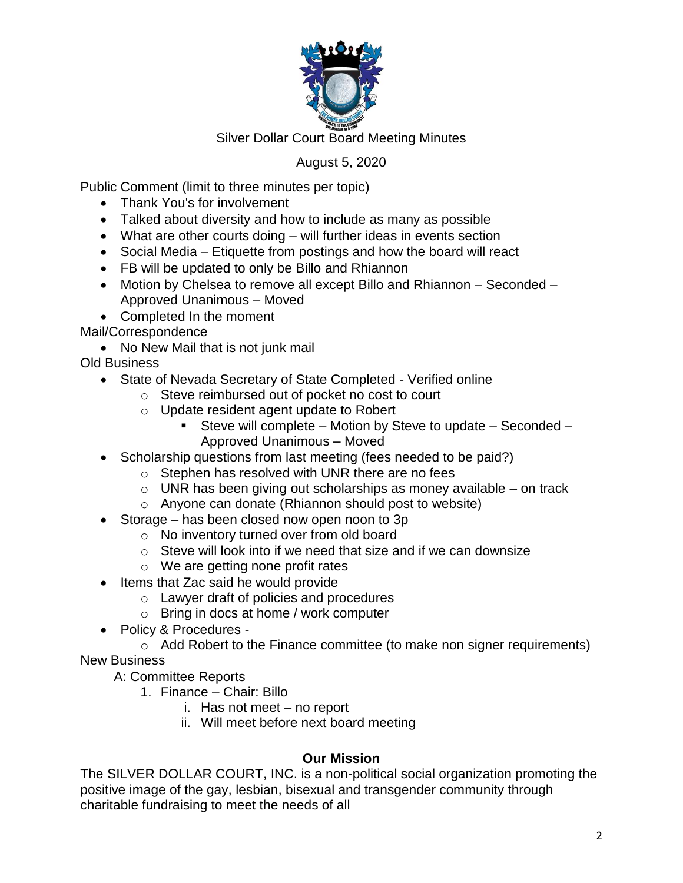

# August 5, 2020

Public Comment (limit to three minutes per topic)

- Thank You's for involvement
- Talked about diversity and how to include as many as possible
- What are other courts doing will further ideas in events section
- Social Media Etiquette from postings and how the board will react
- FB will be updated to only be Billo and Rhiannon
- Motion by Chelsea to remove all except Billo and Rhiannon Seconded Approved Unanimous – Moved
- Completed In the moment

Mail/Correspondence

• No New Mail that is not junk mail

Old Business

- State of Nevada Secretary of State Completed Verified online
	- o Steve reimbursed out of pocket no cost to court
	- o Update resident agent update to Robert
		- Steve will complete Motion by Steve to update Seconded Approved Unanimous – Moved
- Scholarship questions from last meeting (fees needed to be paid?)
	- o Stephen has resolved with UNR there are no fees
	- $\circ$  UNR has been giving out scholarships as money available on track
	- o Anyone can donate (Rhiannon should post to website)
- Storage has been closed now open noon to 3p
	- o No inventory turned over from old board
	- o Steve will look into if we need that size and if we can downsize
	- o We are getting none profit rates
- Items that Zac said he would provide
	- o Lawyer draft of policies and procedures
	- o Bring in docs at home / work computer
- Policy & Procedures -

o Add Robert to the Finance committee (to make non signer requirements) New Business

A: Committee Reports

- 1. Finance Chair: Billo
	- i. Has not meet no report
	- ii. Will meet before next board meeting

### **Our Mission**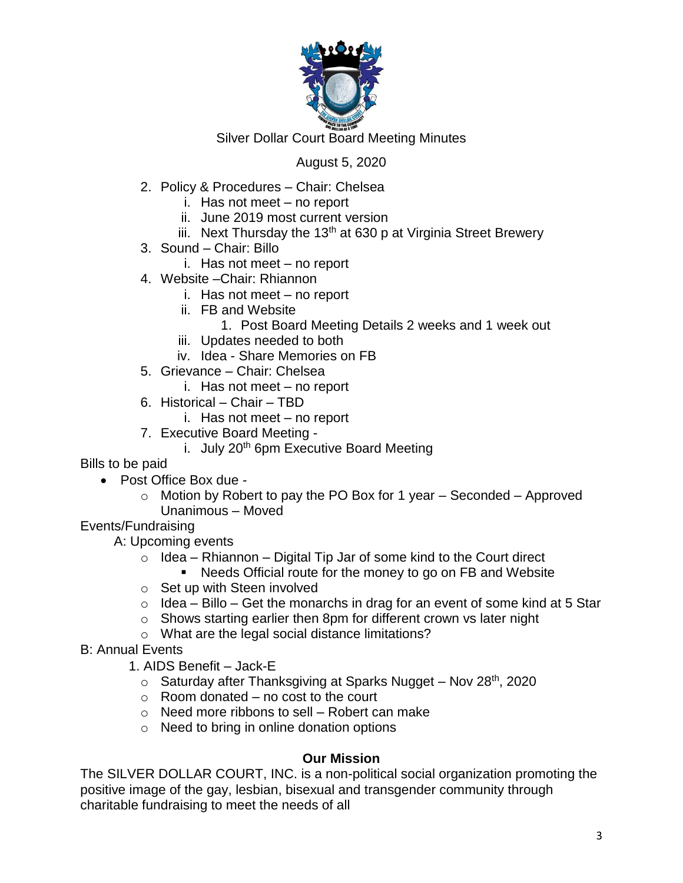

### August 5, 2020

- 2. Policy & Procedures Chair: Chelsea
	- i. Has not meet no report
	- ii. June 2019 most current version
	- iii. Next Thursday the 13<sup>th</sup> at 630 p at Virginia Street Brewery
- 3. Sound Chair: Billo
	- i. Has not meet no report
- 4. Website –Chair: Rhiannon
	- i. Has not meet no report
	- ii. FB and Website
		- 1. Post Board Meeting Details 2 weeks and 1 week out
	- iii. Updates needed to both
	- iv. Idea Share Memories on FB
- 5. Grievance Chair: Chelsea
	- i. Has not meet no report
- 6. Historical Chair TBD
	- i. Has not meet no report
- 7. Executive Board Meeting
	- i. July  $20<sup>th</sup>$  6pm Executive Board Meeting

Bills to be paid

- Post Office Box due
	- $\circ$  Motion by Robert to pay the PO Box for 1 year Seconded Approved Unanimous – Moved
- Events/Fundraising

A: Upcoming events

- $\circ$  Idea Rhiannon Digital Tip Jar of some kind to the Court direct
	- Needs Official route for the money to go on FB and Website
- o Set up with Steen involved
- $\circ$  Idea Billo Get the monarchs in drag for an event of some kind at 5 Star
- o Shows starting earlier then 8pm for different crown vs later night
- o What are the legal social distance limitations?
- B: Annual Events
	- 1. AIDS Benefit Jack-E
		- $\circ$  Saturday after Thanksgiving at Sparks Nugget Nov 28<sup>th</sup>, 2020
		- $\circ$  Room donated no cost to the court
		- $\circ$  Need more ribbons to sell Robert can make
		- o Need to bring in online donation options

#### **Our Mission**